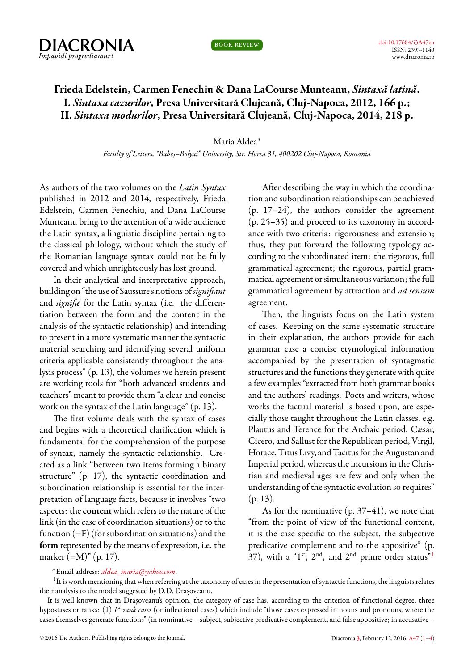

book review

## **Frieda Edelstein, Carmen Fenechiu & Dana LaCourse Munteanu,** *Sintaxă latină***. I.** *Sintaxa cazurilor***, Presa Universitară Clujeană, Cluj-Napoca, 2012, 166 p.; II.** *Sintaxa modurilor***, Presa Universitară Clujeană, Cluj-Napoca, 2014, 218 p.**

## Maria Aldea˚

*Faculty of Letters, "Babeș–Bolyai" University, Str. Horea 31, 400202 Cluj-Napoca, Romania*

<span id="page-0-0"></span>As authors of the two volumes on the *Latin Syntax* published in 2012 and 2014, respectively, Frieda Edelstein, Carmen Fenechiu, and Dana LaCourse Munteanu bring to the attention of a wide audience the Latin syntax, a linguistic discipline pertaining to the classical philology, without which the study of the Romanian language syntax could not be fully covered and which unrighteously has lost ground.

In their analytical and interpretative approach, building on "the use of Saussure's notions of*signifiant* and *signifié* for the Latin syntax (i.e. the differentiation between the form and the content in the analysis of the syntactic relationship) and intending to present in a more systematic manner the syntactic material searching and identifying several uniform criteria applicable consistently throughout the analysis process" (p. 13), the volumes we herein present are working tools for "both advanced students and teachers" meant to provide them "a clear and concise work on the syntax of the Latin language" (p. 13).

The first volume deals with the syntax of cases and begins with a theoretical clarification which is fundamental for the comprehension of the purpose of syntax, namely the syntactic relationship. Created as a link "between two items forming a binary structure" (p. 17), the syntactic coordination and subordination relationship is essential for the interpretation of language facts, because it involves "two aspects: the **content** which refers to the nature of the link (in the case of coordination situations) or to the function  $(=F)$  (for subordination situations) and the **form** represented by the means of expression, i.e. the marker (=M)" (p. 17).

After describing the way in which the coordination and subordination relationships can be achieved (p. 17–24), the authors consider the agreement (p. 25–35) and proceed to its taxonomy in accordance with two criteria: rigorousness and extension; thus, they put forward the following typology according to the subordinated item: the rigorous, full grammatical agreement; the rigorous, partial grammatical agreement or simultaneous variation; the full grammatical agreement by attraction and *ad sensum* agreement.

Then, the linguists focus on the Latin system of cases. Keeping on the same systematic structure in their explanation, the authors provide for each grammar case a concise etymological information accompanied by the presentation of syntagmatic structures and the functions they generate with quite a few examples "extracted from both grammar books and the authors' readings. Poets and writers, whose works the factual material is based upon, are especially those taught throughout the Latin classes, e.g. Plautus and Terence for the Archaic period, Cæsar, Cicero, and Sallust for the Republican period, Virgil, Horace, Titus Livy, and Tacitus for the Augustan and Imperial period, whereas the incursions in the Christian and medieval ages are few and only when the understanding of the syntactic evolution so requires"  $(p. 13)$ .

As for the nominative  $(p. 37-41)$ , we note that "from the point of view of the functional content, it is the case specific to the subject, the subjective predicative complement and to the appositive" (p. 37), with a "[1](#page-0-1)<sup>st</sup>, 2<sup>nd</sup>, and 2<sup>nd</sup> prime order status"<sup>1</sup>

## <span id="page-0-1"></span>˚Email address: *[aldea\\_maria@yahoo.com](mailto:aldea_maria@yahoo.com)*.

 $^{\rm 1}$ It is worth mentioning that when referring at the taxonomy of cases in the presentation of syntactic functions, the linguists relates their analysis to the model suggested by D.D. Drașoveanu.

It is well known that in Drașoveanu's opinion, the category of case has, according to the criterion of functional degree, three hypostases or ranks: (1) *I<sup>st</sup> rank cases* (or inflectional cases) which include "those cases expressed in nouns and pronouns, where the cases themselves generate functions" (in nominative – subject, subjective predicative complement, and false appositive; in accusative –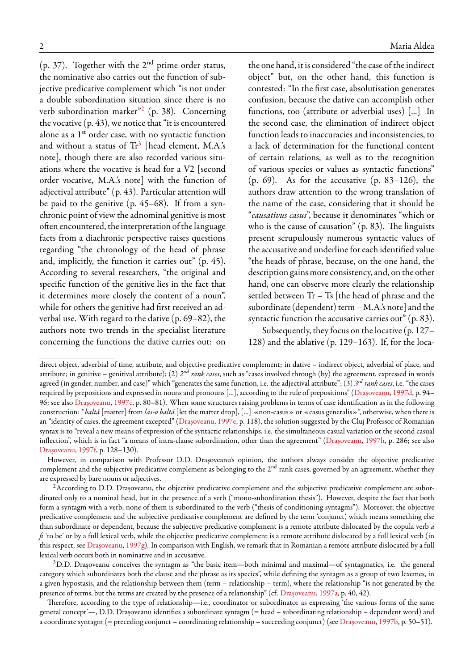(p. 37). Together with the  $2<sup>nd</sup>$  prime order status, the nominative also carries out the function of subjective predicative complement which "is not under a double subordination situation since there is no verb subordination marker"[2](#page-1-0) (p. 38). Concerning the vocative (p. 43), we notice that "it is encountered alone as a 1<sup>st</sup> order case, with no syntactic function and without a status of  $\text{Tr}^3$  $\text{Tr}^3$  [head element, M.A.'s note], though there are also recorded various situations where the vocative is head for a V2 [second order vocative, M.A.'s note] with the function of adjectival attribute" (p. 43). Particular attention will be paid to the genitive (p. 45–68). If from a synchronic point of view the adnominal genitive is most often encountered, the interpretation of the language facts from a diachronic perspective raises questions regarding "the chronology of the head of phrase and, implicitly, the function it carries out" (p. 45). According to several researchers, "the original and specific function of the genitive lies in the fact that it determines more closely the content of a noun", while for others the genitive had first received an adverbal use. With regard to the dative (p. 69–82), the authors note two trends in the specialist literature concerning the functions the dative carries out: on

the one hand, it is considered "the case of the indirect object" but, on the other hand, this function is contested: "In the first case, absolutisation generates confusion, because the dative can accomplish other functions, too (attribute or adverbial uses) [...] In the second case, the elimination of indirect object function leads to inaccuracies and inconsistencies, to a lack of determination for the functional content of certain relations, as well as to the recognition of various species or values as syntactic functions" (p. 69). As for the accusative (p. 83–126), the authors draw attention to the wrong translation of the name of the case, considering that it should be "*causativus casus*", because it denominates "which or who is the cause of causation" (p. 83). The linguists present scrupulously numerous syntactic values of the accusative and underline for each identified value "the heads of phrase, because, on the one hand, the description gains more consistency, and, on the other hand, one can observe more clearly the relationship settled between Tr – Ts [the head of phrase and the subordinate (dependent) term  $-$  M.A.'s note] and the syntactic function the accusative carries out" (p. 83).

Subsequently, they focus on the locative (p. 127– 128) and the ablative (p. 129–163). If, for the loca-

However, in comparison with Professor D.D. Drașoveanu's opinion, the authors always consider the objective predicative complement and the subjective predicative complement as belonging to the  $2<sup>nd</sup>$  rank cases, governed by an agreement, whether they are expressed by bare nouns or adjectives.

direct object, adverbial of time, attribute, and objective predicative complement; in dative – indirect object, adverbial of place, and attribute; in genitive – genitival attribute); (2)  $2^{nd}$  *rank cases*, such as "cases involved through (by) the agreement, expressed in words agreed (in gender, number, and case)" which "generates the same function, i.e. the adjectival attribute"; (3) *3 rd rank cases*, i.e. "the cases required by prepositions and expressed in nouns and pronouns [...], according to the rule of prepositions"([Drașoveanu,](#page-3-0) [1997d,](#page-3-0) p. 94– 96; see also [Drașoveanu,](#page-3-1) [1997c](#page-3-1), p. 80–81). When some structures raising problems in terms of case identification as in the following construction: "*baltă* [matter] from *las-o baltă* [let the matter drop], [...] «non-casus» or «casus generalis»", otherwise, when there is an "identity of cases, the agreement excepted"([Drașoveanu](#page-3-2), [1997e,](#page-3-2) p. 118), the solution suggested by the Cluj Professor of Romanian syntax is to "reveal a new means of expression of the syntactic relationships, i.e. the simultaneous casual variation or the second casual inflection", which is in fact "a means of intra-clause subordination, other than the agreement" [\(Drașoveanu](#page-3-3), [1997h](#page-3-3), p. 286; see also [Drașoveanu](#page-3-4), [1997f,](#page-3-4) p. 128–130).

<span id="page-1-0"></span> $2$ According to D.D. Drașoveanu, the objective predicative complement and the subjective predicative complement are subordinated only to a nominal head, but in the presence of a verb ("mono-subordination thesis"). However, despite the fact that both form a syntagm with a verb, none of them is subordinated to the verb ("thesis of conditioning syntagms"). Moreover, the objective predicative complement and the subjective predicative complement are defined by the term 'conjunct', which means something else than subordinate or dependent, because the subjective predicative complement is a remote attribute dislocated by the copula verb *a fi* 'to be' or by a full lexical verb, while the objective predicative complement is a remote attribute dislocated by a full lexical verb (in this respect, see [Drașoveanu](#page-3-5), [1997g\)](#page-3-5). In comparison with English, we remark that in Romanian a remote attribute dislocated by a full lexical verb occurs both in nominative and in accusative.

<span id="page-1-1"></span><sup>3</sup>D.D. Drașoveanu conceives the syntagm as "the basic item—both minimal and maximal—of syntagmatics, i.e. the general category which subordinates both the clause and the phrase as its species", while defining the syntagm as a group of two lexemes, in a given hypostasis, and the relationship between them (term – relationship – term), where the relationship "is not generated by the presence of terms, but the terms are created by the presence of a relationship" (cf. [Drașoveanu,](#page-2-1) [1997a](#page-2-1), p. 40, 42).

Therefore, according to the type of relationship—i.e., coordinator or subordinator as expressing 'the various forms of the same general concept'—, D.D. Drașoveanu identifies a subordinate syntagm (= head – subordinating relationship – dependent word) and a coordinate syntagm (= preceding conjunct – coordinating relationship – succeeding conjunct) (see [Drașoveanu,](#page-2-2) [1997b](#page-2-2), p. 50–51).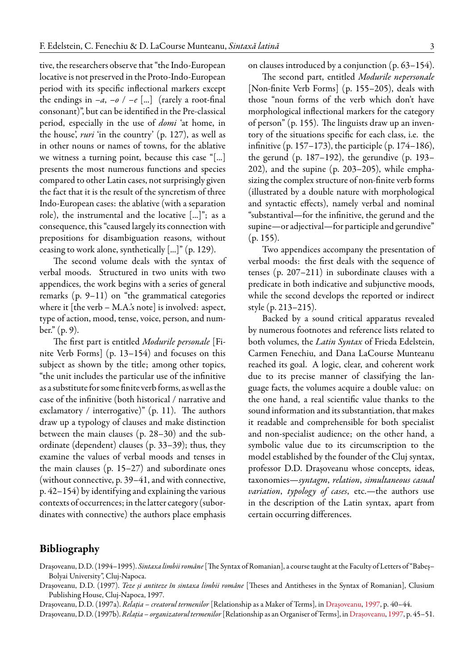tive, the researchers observe that "the Indo-European locative is not preserved in the Proto-Indo-European period with its specific inflectional markers except the endings in  $-a$ ,  $-a$  /  $-e$  [...] (rarely a root-final consonant)", but can be identified in the Pre-classical period, especially in the use of *domi* 'at home, in the house', *ruri* 'in the country' (p. 127), as well as in other nouns or names of towns, for the ablative we witness a turning point, because this case "[...] presents the most numerous functions and species compared to other Latin cases, not surprisingly given the fact that it is the result of the syncretism of three Indo-European cases: the ablative (with a separation role), the instrumental and the locative [...]"; as a consequence, this "caused largely its connection with prepositions for disambiguation reasons, without ceasing to work alone, synthetically [...]" (p. 129).

The second volume deals with the syntax of verbal moods. Structured in two units with two appendices, the work begins with a series of general remarks (p. 9–11) on "the grammatical categories where it [the verb – M.A.'s note] is involved: aspect, type of action, mood, tense, voice, person, and number." (p. 9).

The first part is entitled *Modurile personale* [Finite Verb Forms] (p. 13–154) and focuses on this subject as shown by the title; among other topics, "the unit includes the particular use of the infinitive as a substitute for some finite verb forms, as well as the case of the infinitive (both historical / narrative and exclamatory / interrogative)" (p. 11). The authors draw up a typology of clauses and make distinction between the main clauses (p. 28–30) and the subordinate (dependent) clauses (p. 33–39); thus, they examine the values of verbal moods and tenses in the main clauses (p. 15–27) and subordinate ones (without connective, p. 39–41, and with connective, p. 42–154) by identifying and explaining the various contexts of occurrences; in the latter category (subordinates with connective) the authors place emphasis

on clauses introduced by a conjunction (p. 63–154).

The second part, entitled *Modurile nepersonale* [Non-finite Verb Forms] (p. 155–205), deals with those "noun forms of the verb which don't have morphological inflectional markers for the category of person" (p. 155). The linguists draw up an inventory of the situations specific for each class, i.e. the infinitive (p. 157–173), the participle (p. 174–186), the gerund (p. 187–192), the gerundive (p. 193– 202), and the supine (p. 203–205), while emphasizing the complex structure of non-finite verb forms (illustrated by a double nature with morphological and syntactic effects), namely verbal and nominal "substantival—for the infinitive, the gerund and the supine—or adjectival—for participle and gerundive" (p. 155).

Two appendices accompany the presentation of verbal moods: the first deals with the sequence of tenses (p. 207–211) in subordinate clauses with a predicate in both indicative and subjunctive moods, while the second develops the reported or indirect style (p. 213–215).

Backed by a sound critical apparatus revealed by numerous footnotes and reference lists related to both volumes, the *Latin Syntax* of Frieda Edelstein, Carmen Fenechiu, and Dana LaCourse Munteanu reached its goal. A logic, clear, and coherent work due to its precise manner of classifying the language facts, the volumes acquire a double value: on the one hand, a real scientific value thanks to the sound information and its substantiation, that makes it readable and comprehensible for both specialist and non-specialist audience; on the other hand, a symbolic value due to its circumscription to the model established by the founder of the Cluj syntax, professor D.D. Drașoveanu whose concepts, ideas, taxonomies—*syntagm*, *relation*, *simultaneous casual variation*, *typology of cases*, etc.—the authors use in the description of the Latin syntax, apart from certain occurring differences.

## <span id="page-2-0"></span>**Bibliography**

Drașoveanu, D.D. (1994–1995). *Sintaxa limbii române*[The Syntax of Romanian], a course taught at the Faculty of Letters of "Babeș– Bolyai University", Cluj-Napoca.

<span id="page-2-3"></span>Drașoveanu, D.D. (1997). *Teze și antiteze în sintaxa limbii române* [Theses and Antitheses in the Syntax of Romanian], Clusium Publishing House, Cluj-Napoca, 1997.

<span id="page-2-1"></span>Drașoveanu, D.D. (1997a). *Relația – creatorul termenilor* [Relationship as a Maker of Terms], in [Drașoveanu](#page-2-3), [1997,](#page-2-3) p. 40–44.

<span id="page-2-2"></span>Drașoveanu, D.D. (1997b).*Relația – organizatorultermenilor*[Relationship as an Organiser of Terms], in[Drașoveanu,](#page-2-3) [1997,](#page-2-3) p. 45–51.